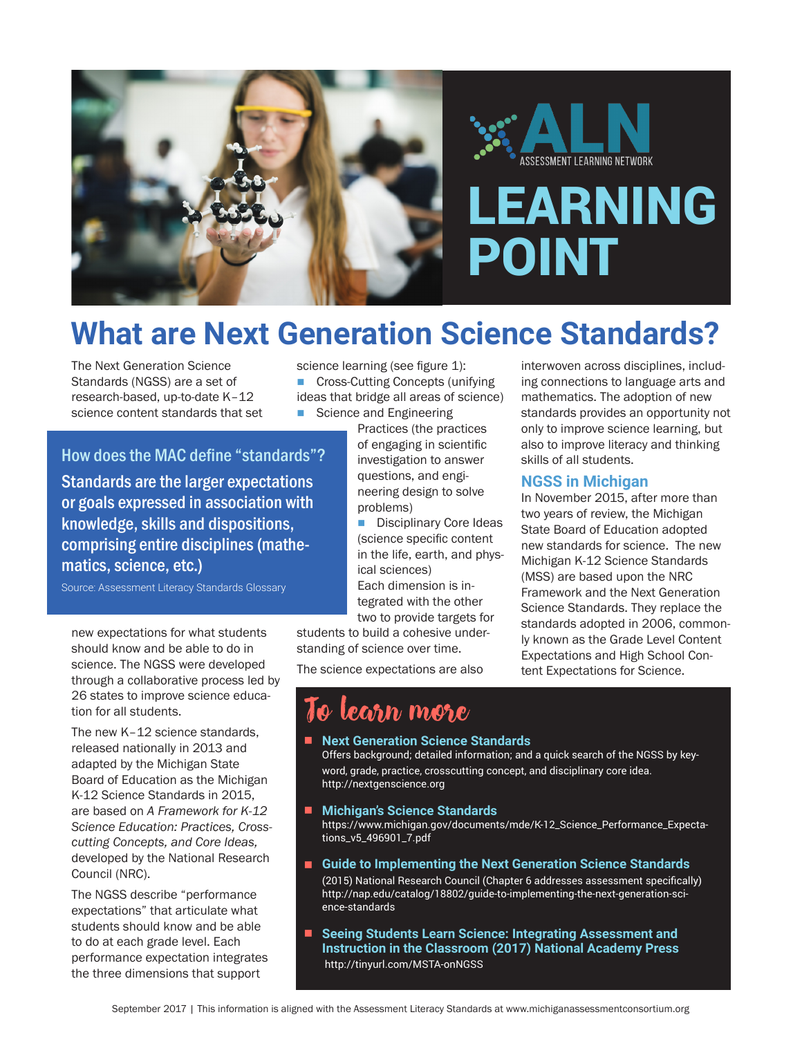

# **What are Next Generation Science Standards?**

The Next Generation Science Standards (NGSS) are a set of research-based, up-to-date K–12 science content standards that set science learning (see figure 1): ■ Cross-Cutting Concepts (unifying ideas that bridge all areas of science) ■ Science and Engineering

Practices (the practices of engaging in scientific investigation to answer questions, and engineering design to solve problems)

**n** Disciplinary Core Ideas (science specific content in the life, earth, and physical sciences) Each dimension is integrated with the other two to provide targets for

students to build a cohesive understanding of science over time.

The science expectations are also

interwoven across disciplines, including connections to language arts and mathematics. The adoption of new standards provides an opportunity not only to improve science learning, but also to improve literacy and thinking skills of all students.

#### **NGSS in Michigan**

In November 2015, after more than two years of review, the Michigan State Board of Education adopted new standards for science. The new Michigan K-12 Science Standards (MSS) are based upon the NRC Framework and the Next Generation Science Standards. They replace the standards adopted in 2006, commonly known as the Grade Level Content Expectations and High School Content Expectations for Science.

# Standards are the larger expectations or goals expressed in association with

How does the MAC define "standards"?

knowledge, skills and dispositions, comprising entire disciplines (mathematics, science, etc.)

Source: Assessment Literacy Standards Glossary

new expectations for what students should know and be able to do in science. The NGSS were developed through a collaborative process led by 26 states to improve science education for all students.

The new K-12 science standards. released nationally in 2013 and adapted by the Michigan State Board of Education as the Michigan K-12 Science Standards in 2015, are based on *A Framework for K-12 Science Education: Practices, Crosscutting Concepts, and Core Ideas,* developed by the National Research Council (NRC).

The NGSS describe "performance expectations" that articulate what students should know and be able to do at each grade level. Each performance expectation integrates the three dimensions that support

■ Next Generation Science Standards

learn more

Offers background; detailed information; and a quick search of the NGSS by keyword, grade, practice, crosscutting concept, and disciplinary core idea. http://nextgenscience.org

#### ■ Michigan's Science Standards

https://www.michigan.gov/documents/mde/K-12\_Science\_Performance\_Expectations\_v5\_496901\_7.pdf

- **E** Guide to Implementing the Next Generation Science Standards (2015) National Research Council (Chapter 6 addresses assessment specifically) http://nap.edu/catalog/18802/guide-to-implementing-the-next-generation-science-standards
- Seeing Students Learn Science: Integrating Assessment and **Instruction in the Classroom (2017) National Academy Press** http://tinyurl.com/MSTA-onNGSS